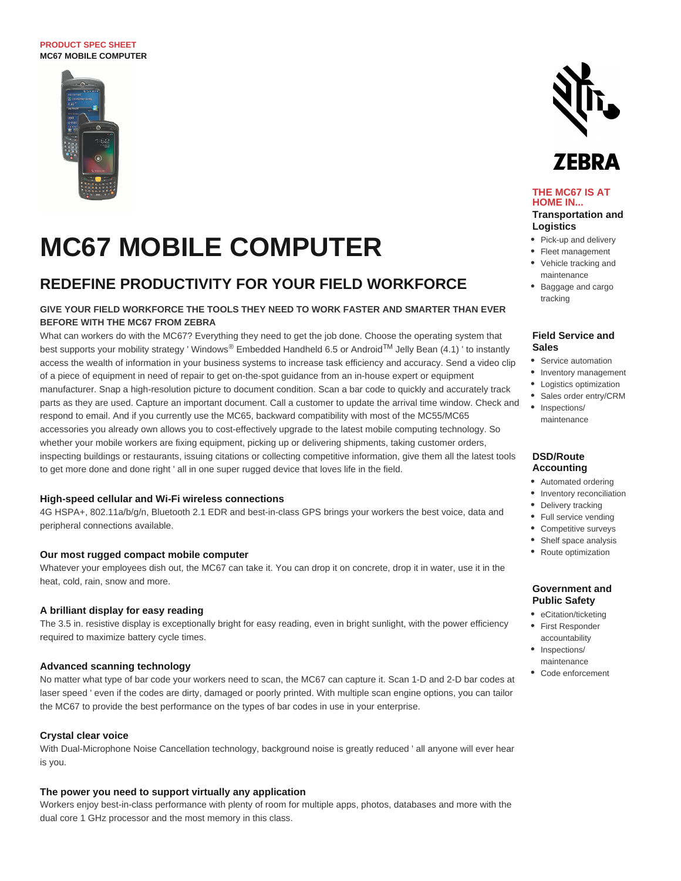#### **PRODUCT SPEC SHEET MC67 MOBILE COMPUTER**



# **MC67 MOBILE COMPUTER**

# **REDEFINE PRODUCTIVITY FOR YOUR FIELD WORKFORCE**

# **GIVE YOUR FIELD WORKFORCE THE TOOLS THEY NEED TO WORK FASTER AND SMARTER THAN EVER BEFORE WITH THE MC67 FROM ZEBRA**

What can workers do with the MC67? Everything they need to get the job done. Choose the operating system that best supports your mobility strategy ' Windows® Embedded Handheld 6.5 or Android<sup>TM</sup> Jelly Bean (4.1) ' to instantly access the wealth of information in your business systems to increase task efficiency and accuracy. Send a video clip of a piece of equipment in need of repair to get on-the-spot guidance from an in-house expert or equipment manufacturer. Snap a high-resolution picture to document condition. Scan a bar code to quickly and accurately track parts as they are used. Capture an important document. Call a customer to update the arrival time window. Check and respond to email. And if you currently use the MC65, backward compatibility with most of the MC55/MC65 accessories you already own allows you to cost-effectively upgrade to the latest mobile computing technology. So whether your mobile workers are fixing equipment, picking up or delivering shipments, taking customer orders, inspecting buildings or restaurants, issuing citations or collecting competitive information, give them all the latest tools to get more done and done right ' all in one super rugged device that loves life in the field.

# **High-speed cellular and Wi-Fi wireless connections**

4G HSPA+, 802.11a/b/g/n, Bluetooth 2.1 EDR and best-in-class GPS brings your workers the best voice, data and peripheral connections available.

#### **Our most rugged compact mobile computer**

Whatever your employees dish out, the MC67 can take it. You can drop it on concrete, drop it in water, use it in the heat, cold, rain, snow and more.

## **A brilliant display for easy reading**

The 3.5 in. resistive display is exceptionally bright for easy reading, even in bright sunlight, with the power efficiency required to maximize battery cycle times.

## **Advanced scanning technology**

No matter what type of bar code your workers need to scan, the MC67 can capture it. Scan 1-D and 2-D bar codes at laser speed ' even if the codes are dirty, damaged or poorly printed. With multiple scan engine options, you can tailor the MC67 to provide the best performance on the types of bar codes in use in your enterprise.

# **Crystal clear voice**

With Dual-Microphone Noise Cancellation technology, background noise is greatly reduced ' all anyone will ever hear is you.

#### **The power you need to support virtually any application**

Workers enjoy best-in-class performance with plenty of room for multiple apps, photos, databases and more with the dual core 1 GHz processor and the most memory in this class.



# 7FRRA

#### **THE MC67 IS AT HOME IN... Transportation and**

# **Logistics**

- Pick-up and delivery
- Fleet management
- Vehicle tracking and maintenance
- Baggage and cargo tracking

#### **Field Service and Sales**

- Service automation
- Inventory management
- Logistics optimization
- Sales order entry/CRM
- Inspections/ maintenance

#### **DSD/Route Accounting**

- Automated ordering
- Inventory reconciliation
- Delivery tracking
- Full service vending
- Competitive surveys
- Shelf space analysis
- Route optimization

## **Government and Public Safety**

- eCitation/ticketing
- First Responder accountability
- Inspections/ maintenance
- Code enforcement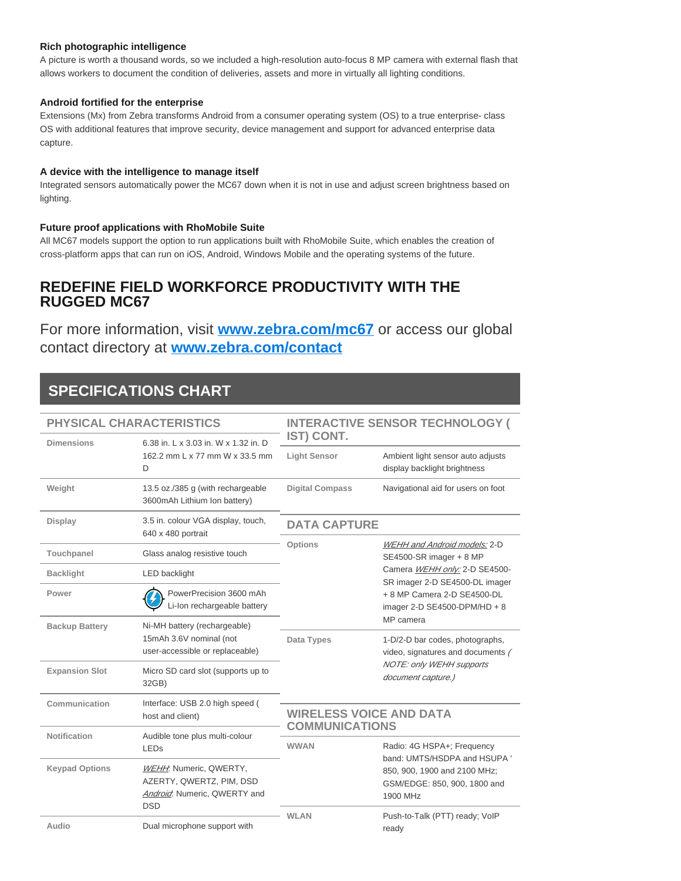# **Rich photographic intelligence**

A picture is worth a thousand words, so we included a high-resolution auto-focus 8 MP camera with external flash that allows workers to document the condition of deliveries, assets and more in virtually all lighting conditions.

# **Android fortified for the enterprise**

Extensions (Mx) from Zebra transforms Android from a consumer operating system (OS) to a true enterprise- class OS with additional features that improve security, device management and support for advanced enterprise data capture.

# **A device with the intelligence to manage itself**

Integrated sensors automatically power the MC67 down when it is not in use and adjust screen brightness based on lighting.

# **Future proof applications with RhoMobile Suite**

All MC67 models support the option to run applications built with RhoMobile Suite, which enables the creation of cross-platform apps that can run on iOS, Android, Windows Mobile and the operating systems of the future.

# **REDEFINE FIELD WORKFORCE PRODUCTIVITY WITH THE RUGGED MC67**

For more information, visit **[www.zebra.com/mc67](http://www.zebra.com/mc67)** or access our global contact directory at **[www.zebra.com/contact](http://www.zebra.com/contact)**

# **SPECIFICATIONS CHART**

| <b>PHYSICAL CHARACTERISTICS</b> |                                                                                                        | <b>INTERACTIVE SENSOR TECHNOLOGY (</b>                                                                                                         |                                                                                                                                                                                                                     |
|---------------------------------|--------------------------------------------------------------------------------------------------------|------------------------------------------------------------------------------------------------------------------------------------------------|---------------------------------------------------------------------------------------------------------------------------------------------------------------------------------------------------------------------|
| <b>Dimensions</b>               | 6.38 in. L x 3.03 in. W x 1.32 in. D<br>162.2 mm L x 77 mm W x 33.5 mm<br>D                            | IST) CONT.<br><b>Light Sensor</b>                                                                                                              | Ambient light sensor auto adjusts<br>display backlight brightness                                                                                                                                                   |
| Weight                          | 13.5 oz./385 g (with rechargeable<br>3600mAh Lithium Ion battery)                                      | <b>Digital Compass</b>                                                                                                                         | Navigational aid for users on foot                                                                                                                                                                                  |
| Display                         | 3.5 in. colour VGA display, touch,<br>640 x 480 portrait                                               | <b>DATA CAPTURE</b>                                                                                                                            |                                                                                                                                                                                                                     |
| Touchpanel                      | Glass analog resistive touch                                                                           | <b>Options</b>                                                                                                                                 | WEHH and Android models: 2-D<br>SE4500-SR imager + 8 MP                                                                                                                                                             |
| <b>Backlight</b>                | <b>LED</b> backlight                                                                                   |                                                                                                                                                | Camera WEHH only: 2-D SE4500-<br>SR imager 2-D SE4500-DL imager<br>+ 8 MP Camera 2-D SE4500-DL<br>imager 2-D SE4500-DPM/HD + 8<br>MP camera<br>1-D/2-D bar codes, photographs,<br>video, signatures and documents / |
| Power                           | PowerPrecision 3600 mAh<br>Li-Ion rechargeable battery                                                 |                                                                                                                                                |                                                                                                                                                                                                                     |
| <b>Backup Battery</b>           | Ni-MH battery (rechargeable)<br>15mAh 3.6V nominal (not<br>user-accessible or replaceable)             | Data Types                                                                                                                                     |                                                                                                                                                                                                                     |
| <b>Expansion Slot</b>           | Micro SD card slot (supports up to<br>32GB)                                                            |                                                                                                                                                | <b>NOTE: only WEHH supports</b><br>document capture.)                                                                                                                                                               |
| Communication                   | Interface: USB 2.0 high speed (<br>host and client)                                                    | <b>WIRELESS VOICE AND DATA</b>                                                                                                                 |                                                                                                                                                                                                                     |
| Notification                    | Audible tone plus multi-colour<br>LEDs                                                                 | <b>COMMUNICATIONS</b><br><b>WWAN</b><br>Radio: 4G HSPA+; Frequency<br>850, 900, 1900 and 2100 MHz;<br>GSM/EDGE: 850, 900, 1800 and<br>1900 MHz |                                                                                                                                                                                                                     |
| <b>Keypad Options</b>           | WEHH Numeric, QWERTY,<br>AZERTY, QWERTZ, PIM, DSD<br><b>Android:</b> Numeric, QWERTY and<br><b>DSD</b> |                                                                                                                                                | band: UMTS/HSDPA and HSUPA '                                                                                                                                                                                        |
| Audio                           | Dual microphone support with                                                                           | <b>WLAN</b>                                                                                                                                    | Push-to-Talk (PTT) ready; VoIP<br>ready                                                                                                                                                                             |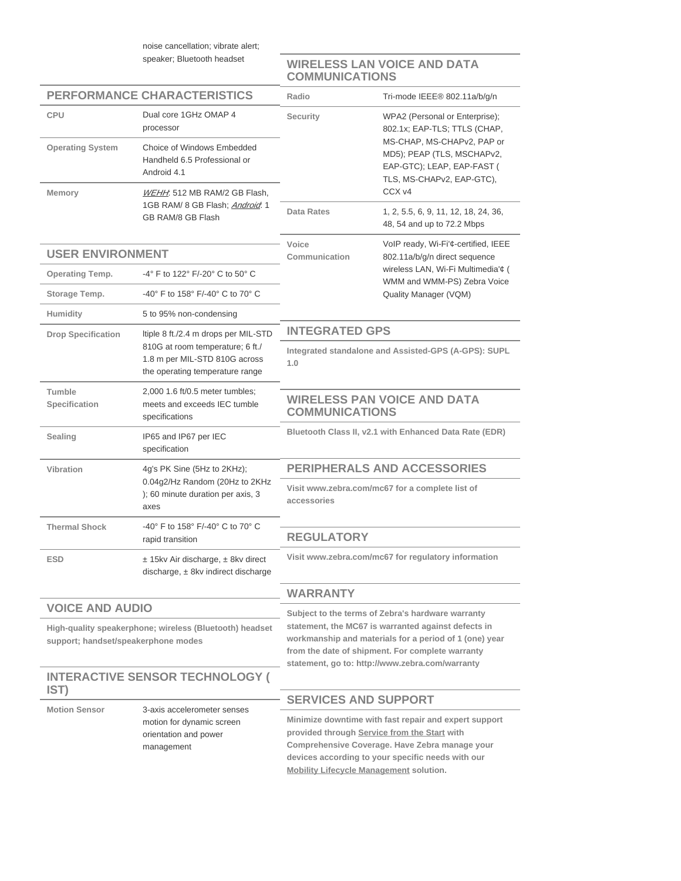noise cancellation; vibrate alert; speaker; Bluetooth headset

**WIRELESS LAN VOICE AND DATA COMMUNICATIONS**

| <b>PERFORMANCE CHARACTERISTICS</b>                                                             |                                                                                                            | Radio                                                                                                                                                                                                                                                                     | Tri-mode IEEE® 802.11a/b/q/n                                                                                                                                 |
|------------------------------------------------------------------------------------------------|------------------------------------------------------------------------------------------------------------|---------------------------------------------------------------------------------------------------------------------------------------------------------------------------------------------------------------------------------------------------------------------------|--------------------------------------------------------------------------------------------------------------------------------------------------------------|
| <b>CPU</b>                                                                                     | Dual core 1GHz OMAP 4<br>processor                                                                         | Security                                                                                                                                                                                                                                                                  | WPA2 (Personal or Enterprise);<br>802.1x; EAP-TLS; TTLS (CHAP,                                                                                               |
| <b>Operating System</b>                                                                        | Choice of Windows Embedded<br>Handheld 6.5 Professional or<br>Android 4.1                                  | MS-CHAP, MS-CHAPv2, PAP or<br>MD5); PEAP (TLS, MSCHAPv2,<br>EAP-GTC); LEAP, EAP-FAST (<br>TLS, MS-CHAPv2, EAP-GTC),                                                                                                                                                       |                                                                                                                                                              |
| <b>Memory</b>                                                                                  | WEHH: 512 MB RAM/2 GB Flash,<br>1GB RAM/ 8 GB Flash: Android. 1<br>GB RAM/8 GB Flash                       |                                                                                                                                                                                                                                                                           | CCX v4                                                                                                                                                       |
|                                                                                                |                                                                                                            | <b>Data Rates</b>                                                                                                                                                                                                                                                         | 1, 2, 5.5, 6, 9, 11, 12, 18, 24, 36,<br>48, 54 and up to 72.2 Mbps                                                                                           |
| <b>USER ENVIRONMENT</b>                                                                        |                                                                                                            | Voice<br>Communication                                                                                                                                                                                                                                                    | VoIP ready, Wi-Fi'¢-certified, IEEE<br>802.11a/b/g/n direct sequence                                                                                         |
| <b>Operating Temp.</b>                                                                         | -4° F to 122° F/-20° C to 50° C                                                                            | wireless LAN, Wi-Fi Multimedia'¢ (                                                                                                                                                                                                                                        |                                                                                                                                                              |
| Storage Temp.                                                                                  | -40° F to 158° F/-40° C to 70° C                                                                           |                                                                                                                                                                                                                                                                           | WMM and WMM-PS) Zebra Voice<br>Quality Manager (VQM)                                                                                                         |
| Humidity                                                                                       | 5 to 95% non-condensing                                                                                    |                                                                                                                                                                                                                                                                           |                                                                                                                                                              |
| <b>Drop Specification</b>                                                                      | Itiple 8 ft./2.4 m drops per MIL-STD                                                                       | <b>INTEGRATED GPS</b>                                                                                                                                                                                                                                                     |                                                                                                                                                              |
|                                                                                                | 810G at room temperature; 6 ft./<br>1.8 m per MIL-STD 810G across<br>the operating temperature range       | Integrated standalone and Assisted-GPS (A-GPS): SUPL<br>1.0                                                                                                                                                                                                               |                                                                                                                                                              |
| Tumble<br>Specification                                                                        | 2,000 1.6 ft/0.5 meter tumbles;<br>meets and exceeds IEC tumble<br>specifications                          | <b>WIRELESS PAN VOICE AND DATA</b><br><b>COMMUNICATIONS</b>                                                                                                                                                                                                               |                                                                                                                                                              |
| Sealing                                                                                        | IP65 and IP67 per IEC<br>specification                                                                     | Bluetooth Class II, v2.1 with Enhanced Data Rate (EDR)                                                                                                                                                                                                                    |                                                                                                                                                              |
| Vibration                                                                                      | 4g's PK Sine (5Hz to 2KHz);<br>0.04g2/Hz Random (20Hz to 2KHz<br>); 60 minute duration per axis, 3<br>axes | <b>PERIPHERALS AND ACCESSORIES</b>                                                                                                                                                                                                                                        |                                                                                                                                                              |
|                                                                                                |                                                                                                            | Visit www.zebra.com/mc67 for a complete list of<br>accessories                                                                                                                                                                                                            |                                                                                                                                                              |
| <b>Thermal Shock</b>                                                                           | -40° F to 158° F/-40° C to 70° C<br>rapid transition                                                       | <b>REGULATORY</b>                                                                                                                                                                                                                                                         |                                                                                                                                                              |
| <b>ESD</b>                                                                                     | $±$ 15kv Air discharge, $±$ 8kv direct<br>discharge, $\pm$ 8kv indirect discharge                          | Visit www.zebra.com/mc67 for regulatory information                                                                                                                                                                                                                       |                                                                                                                                                              |
|                                                                                                |                                                                                                            | <b>WARRANTY</b>                                                                                                                                                                                                                                                           |                                                                                                                                                              |
| <b>VOICE AND AUDIO</b>                                                                         |                                                                                                            | Subject to the terms of Zebra's hardware warranty<br>statement, the MC67 is warranted against defects in<br>workmanship and materials for a period of 1 (one) year<br>from the date of shipment. For complete warranty<br>statement, go to: http://www.zebra.com/warranty |                                                                                                                                                              |
| High-quality speakerphone; wireless (Bluetooth) headset<br>support; handset/speakerphone modes |                                                                                                            |                                                                                                                                                                                                                                                                           |                                                                                                                                                              |
| <b>INTERACTIVE SENSOR TECHNOLOGY (</b><br>IST)                                                 |                                                                                                            |                                                                                                                                                                                                                                                                           |                                                                                                                                                              |
| <b>Motion Sensor</b>                                                                           | 3-axis accelerometer senses<br>motion for dynamic screen<br>orientation and power<br>management            | <b>SERVICES AND SUPPORT</b>                                                                                                                                                                                                                                               |                                                                                                                                                              |
|                                                                                                |                                                                                                            | provided through Service from the Start with<br><b>Mobility Lifecycle Management solution.</b>                                                                                                                                                                            | Minimize downtime with fast repair and expert support<br>Comprehensive Coverage. Have Zebra manage your<br>devices according to your specific needs with our |